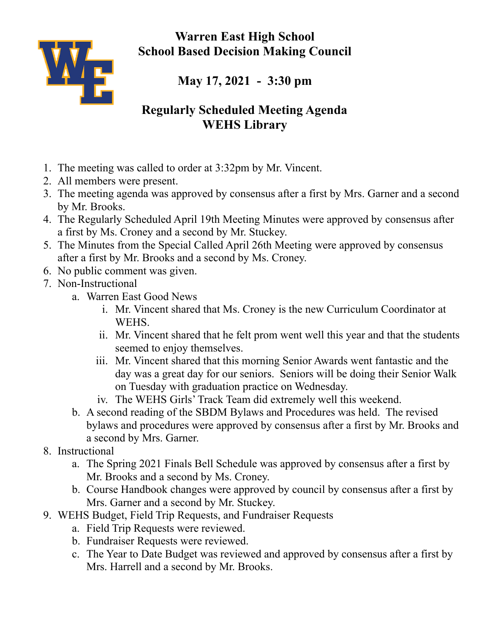**Warren East High School School Based Decision Making Council**



**May 17, 2021 - 3:30 pm**

## **Regularly Scheduled Meeting Agenda WEHS Library**

- 1. The meeting was called to order at 3:32pm by Mr. Vincent.
- 2. All members were present.
- 3. The meeting agenda was approved by consensus after a first by Mrs. Garner and a second by Mr. Brooks.
- 4. The Regularly Scheduled April 19th Meeting Minutes were approved by consensus after a first by Ms. Croney and a second by Mr. Stuckey.
- 5. The Minutes from the Special Called April 26th Meeting were approved by consensus after a first by Mr. Brooks and a second by Ms. Croney.
- 6. No public comment was given.
- 7. Non-Instructional
	- a. Warren East Good News
		- i. Mr. Vincent shared that Ms. Croney is the new Curriculum Coordinator at WEHS.
		- ii. Mr. Vincent shared that he felt prom went well this year and that the students seemed to enjoy themselves.
		- iii. Mr. Vincent shared that this morning Senior Awards went fantastic and the day was a great day for our seniors. Seniors will be doing their Senior Walk on Tuesday with graduation practice on Wednesday.
		- iv. The WEHS Girls' Track Team did extremely well this weekend.
	- b. A second reading of the SBDM Bylaws and Procedures was held. The revised bylaws and procedures were approved by consensus after a first by Mr. Brooks and a second by Mrs. Garner.
- 8. Instructional
	- a. The Spring 2021 Finals Bell Schedule was approved by consensus after a first by Mr. Brooks and a second by Ms. Croney.
	- b. Course Handbook changes were approved by council by consensus after a first by Mrs. Garner and a second by Mr. Stuckey.
- 9. WEHS Budget, Field Trip Requests, and Fundraiser Requests
	- a. Field Trip Requests were reviewed.
	- b. Fundraiser Requests were reviewed.
	- c. The Year to Date Budget was reviewed and approved by consensus after a first by Mrs. Harrell and a second by Mr. Brooks.